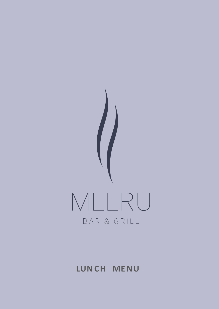

# **LUN CH ME NU**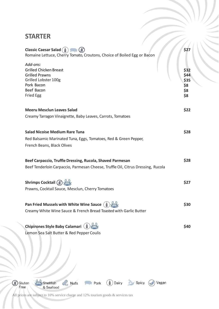### **STARTER**

|                | <b>Classic Caesar Salad (iii)</b><br>Romaine Lettuce, Cherry Tomato, Croutons, Choice of Boiled Egg or Bacon                               | \$27                                      |
|----------------|--------------------------------------------------------------------------------------------------------------------------------------------|-------------------------------------------|
|                | Add-ons:<br><b>Grilled Chicken Breast</b><br><b>Grilled Prawns</b><br>Grilled Lobster 100g<br>Pork Bacon<br>Beef Bacon<br><b>Fried Egg</b> | \$32<br>\$44<br>\$35<br>\$8<br>\$8<br>\$8 |
|                | <b>Meeru Mesclun Leaves Salad</b>                                                                                                          | \$22                                      |
|                | Creamy Tarragon Vinaigrette, Baby Leaves, Carrots, Tomatoes                                                                                |                                           |
|                | <b>Salad Nicoise Medium Rare Tuna</b><br>Red Balsamic Marinated Tuna, Eggs, Tomatoes, Red & Green Pepper,<br>French Beans, Black Olives    | \$28                                      |
|                | Beef Carpaccio, Truffle Dressing, Rucola, Shaved Parmesan                                                                                  | \$28                                      |
|                | Beef Tenderloin Carpaccio, Parmesan Cheese, Truffle Oil, Citrus Dressing, Rucola                                                           |                                           |
|                | Shrimps Cocktail (\$)<br>Prawns, Cocktail Sauce, Mesclun, Cherry Tomatoes                                                                  | \$27                                      |
|                | Pan Fried Mussels with White Wine Sauce (<br>Creamy White Wine Sauce & French Bread Toasted with Garlic Butter                             | \$30                                      |
|                | Chipirones Style Baby Calamari (<br>Lemon Sea Salt Butter & Red Pepper Coulis                                                              | \$40                                      |
| Gluten<br>Free | & Nuts<br>Dairy<br>Spicy<br>Pork<br>Vegan<br>Shellfish<br>& Seafood                                                                        |                                           |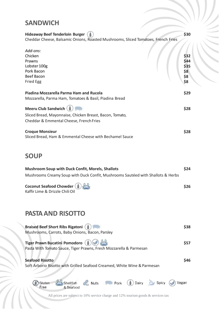### **SANDWICH**

| <b>Hideaway Beef Tenderloin Burger</b>                                            | \$30 |
|-----------------------------------------------------------------------------------|------|
| Cheddar Cheese, Balsamic Onions, Roasted Mushrooms, Sliced Tomatoes, French Fries |      |
|                                                                                   |      |
| Add-ons:                                                                          |      |
| Chicken                                                                           | \$32 |
| Prawns                                                                            | \$44 |
| Lobster 100g                                                                      | \$35 |
| Pork Bacon                                                                        | \$8  |
| <b>Beef Bacon</b>                                                                 | \$8  |
| Fried Egg                                                                         | \$8  |
|                                                                                   |      |
| Piadina Mozzarella Parma Ham and Rucola                                           | \$29 |
| Mozzarella, Parma Ham, Tomatoes & Basil, Piadina Bread                            |      |
|                                                                                   |      |
| Meeru Club Sandwich (                                                             | \$28 |
| Sliced Bread, Mayonnaise, Chicken Breast, Bacon, Tomato,                          |      |
| Cheddar & Emmental Cheese, French Fries                                           |      |
|                                                                                   |      |
| <b>Croque Monsieur</b>                                                            | \$28 |
| Sliced Bread, Ham & Emmental Cheese with Bechamel Sauce                           |      |

## **SOUP**

| <b>Mushroom Soup with Duck Confit, Morels, Shallots</b>                                                                                                                                    | \$24  |
|--------------------------------------------------------------------------------------------------------------------------------------------------------------------------------------------|-------|
| Mushrooms Creamy Soup with Duck Confit, Mushrooms Sautéed with Shallots & Herbs                                                                                                            |       |
| Coconut Seafood Chowder (<br>Kaffir Lime & Drizzle Chili Oil                                                                                                                               | \$26  |
| <b>PASTA AND RISOTTO</b>                                                                                                                                                                   |       |
| <b>Braised Beef Short Ribs Rigatoni</b> (<br>Mushrooms, Carrots, Baby Onions, Bacon, Parsley                                                                                               | \$38  |
| Tiger Prawn Bucatini Pomodoro (<br>Pasta With Tomato Sauce, Tiger Prawns, Fresh Mozzarella & Parmesan                                                                                      | \$57  |
| <b>Seafood Risotto</b><br>Soft Arborio Risotto with Grilled Seafood Creamed, White Wine & Parmesan                                                                                         | \$46  |
| $\circled{1}$<br>Dairy<br><b>De</b> Spicy<br>Nuts Pork<br>Gluten<br>Shellfish<br>Eree<br>& Seafood<br>All prices are subject to 10% service charge and 12% tourism goods $\&$ services tax | Vegan |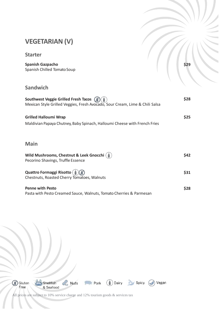### **VEGETARIAN (V)**

#### **Starter**

**Spanish Gazpacho** Spanish Chilled Tomato Soup

**Sandwich**

| Southwest Veggie Grilled Fresh Tacos (3)<br>Mexican Style Grilled Veggies, Fresh Avocado, Sour Cream, Lime & Chili Salsa | \$28 |
|--------------------------------------------------------------------------------------------------------------------------|------|
| <b>Grilled Halloumi Wrap</b><br>Maldivian Papaya Chutney, Baby Spinach, Halloumi Cheese with French Fries                | \$25 |
| <b>Main</b>                                                                                                              |      |
| Wild Mushrooms, Chestnut & Leek Gnocchi (<br>Pecorino Shavings, Truffle Essence                                          | \$42 |
| Quattro Formaggi Risotto ( ( )<br>Chestnuts, Roasted Cherry Tomatoes, Walnuts                                            | \$31 |
| <b>Penne with Pesto</b><br>Pasta with Pesto Creamed Sauce, Walnuts, Tomato Cherries & Parmesan                           | \$28 |



All prices are subject to 10% service charge and 12% tourism goods & services tax

**\$29**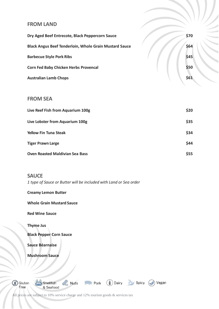#### **FROM LAND**

| Dry Aged Beef Entrecote, Black Peppercorn Sauce               | \$70 |
|---------------------------------------------------------------|------|
| <b>Black Angus Beef Tenderloin, Whole Grain Mustard Sauce</b> | \$64 |
| <b>Barbecue Style Pork Ribs</b>                               | \$45 |
| <b>Corn Fed Baby Chicken Herbs Provencal</b>                  | \$50 |
| <b>Australian Lamb Chops</b>                                  | \$61 |

#### **FROM SEA**

| Live Reef Fish from Aquarium 100g      | \$20       |
|----------------------------------------|------------|
| Live Lobster from Aquarium 100g        | \$35       |
| <b>Yellow Fin Tuna Steak</b>           | \$34       |
| <b>Tiger Prawn Large</b>               | \$44       |
| <b>Oven Roasted Maldivian Sea Bass</b> | <b>S55</b> |

#### **SAUCE**

*1 type of Sauce or Butter will be included with Land or Sea order*

#### **Creamy Lemon Butter**

**Whole Grain Mustard Sauce** 

**Red Wine Sauce**

**Thyme Jus**

**Black Pepper Corn Sauce** 

**Sauce Béarnaise** 

**Mushroom Sauce**

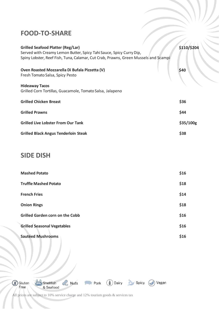### **FOOD-TO-SHARE**

| <b>Grilled Seafood Platter (Reg/Lar)</b><br>Served with Creamy Lemon Butter, Spicy Tahi Sauce, Spicy Curry Dip,<br>Spiny Lobster, Reef Fish, Tuna, Calamar, Cut Crab, Prawns, Green Mussels and Scampi | \$110/\$204 |
|--------------------------------------------------------------------------------------------------------------------------------------------------------------------------------------------------------|-------------|
| Oven Roasted Mozzarella Di Bufala Pizzetta (V)<br>Fresh Tomato Salsa, Spicy Pesto                                                                                                                      | \$40        |
| <b>Hideaway Tacos</b><br>Grilled Corn Tortillas, Guacamole, Tomato Salsa, Jalapeno                                                                                                                     |             |
| <b>Grilled Chicken Breast</b>                                                                                                                                                                          | \$36        |
| <b>Grilled Prawns</b>                                                                                                                                                                                  | \$44        |
| <b>Grilled Live Lobster From Our Tank</b>                                                                                                                                                              | \$35/100g   |
| <b>Grilled Black Angus Tenderloin Steak</b>                                                                                                                                                            | \$38        |

### **SIDE DISH**

| <b>Mashed Potato</b>                   | \$16 |
|----------------------------------------|------|
| <b>Truffle Mashed Potato</b>           | \$18 |
| <b>French Fries</b>                    | \$14 |
| <b>Onion Rings</b>                     | \$18 |
| <b>Grilled Garden corn on the Cobb</b> | \$16 |
| <b>Grilled Seasonal Vegetables</b>     | \$16 |
| <b>Sautéed Mushrooms</b>               | \$16 |

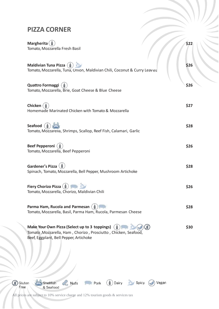### **PIZZA CORNER**

**Margherita** Tomato, Mozzarella Fresh Basil

| <b>Maldivian Tuna Pizza</b><br>Tomato, Mozzarella, Tuna, Onion, Maldivian Chili, Coconut & Curry Leaves                                                    | \$26 |
|------------------------------------------------------------------------------------------------------------------------------------------------------------|------|
| <b>Quattro Formaggi</b><br>Tomato, Mozzarella, Brie, Goat Cheese & Blue Cheese                                                                             | \$26 |
| Chicken<br>Homemade Marinated Chicken with Tomato & Mozzarella                                                                                             | \$27 |
| <b>Seafood</b><br>Tomato, Mozzarella, Shrimps, Scallop, Reef Fish, Calamari, Garlic                                                                        | \$28 |
| Beef Pepperoni (<br>Tomato, Mozzarella, Beef Pepperoni                                                                                                     | \$26 |
| <b>Gardener's Pizza</b><br>Spinach, Tomato, Mozzarella, Bell Pepper, Mushroom Artichoke                                                                    | \$28 |
| Fiery Chorizo Pizza (1)<br>Tomato, Mozzarella, Chorizo, Maldivian Chili                                                                                    | \$26 |
| Parma Ham, Rucola and Parmesan (<br>Tomato, Mozzarella, Basil, Parma Ham, Rucola, Parmesan Cheese                                                          | \$28 |
| Make Your Own Pizza (Select up to 3 toppings)<br>Tomato, Mozzarella, Ham, Chorizo, Prosciutto, Chicken, Seafood,<br>Beef, Eggplant, Bell Pepper, Artichoke | \$30 |

Nuts Pork Dairy Spicy Vegan

**\$22**

All prices are subject to 10% service charge and 12% tourism goods & services tax

Shellfish<br>& Seafood

Goluten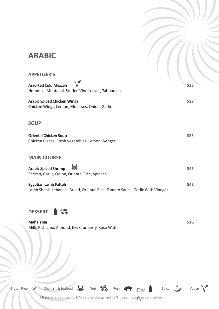# **ARABIC**

| <b>APPETIZER'S</b>                                                                                          |      |
|-------------------------------------------------------------------------------------------------------------|------|
| <b>Assorted Cold Mezzeh</b><br>Hummus, Moutabal, Stuffed Vine Leaves, Tabbouleh                             | \$25 |
| <b>Arabic Spiced Chicken Wings</b><br>Chicken Wings, Lemon, Molasses, Onion, Garlic                         | \$27 |
| <b>SOUP</b>                                                                                                 |      |
| <b>Oriental Chicken Soup</b><br>Chicken Pieces, Fresh Vegetables, Lemon Wedges                              | \$25 |
| <b>MAIN COURSE</b>                                                                                          |      |
| <b>Arabic Spiced Shrimp</b><br>Shrimp, Garlic, Onion, Oriental Rice, Spinach                                | \$45 |
| <b>Egyptian Lamb Fatteh</b><br>Lamb Shank, Lebanese Bread, Oriental Rice, Tomato Sauce, Garlic With Vinegar | \$45 |



**Mahalabia \$16** Milk, Pistachio, Almond, Dry Cranberry, Rose Water